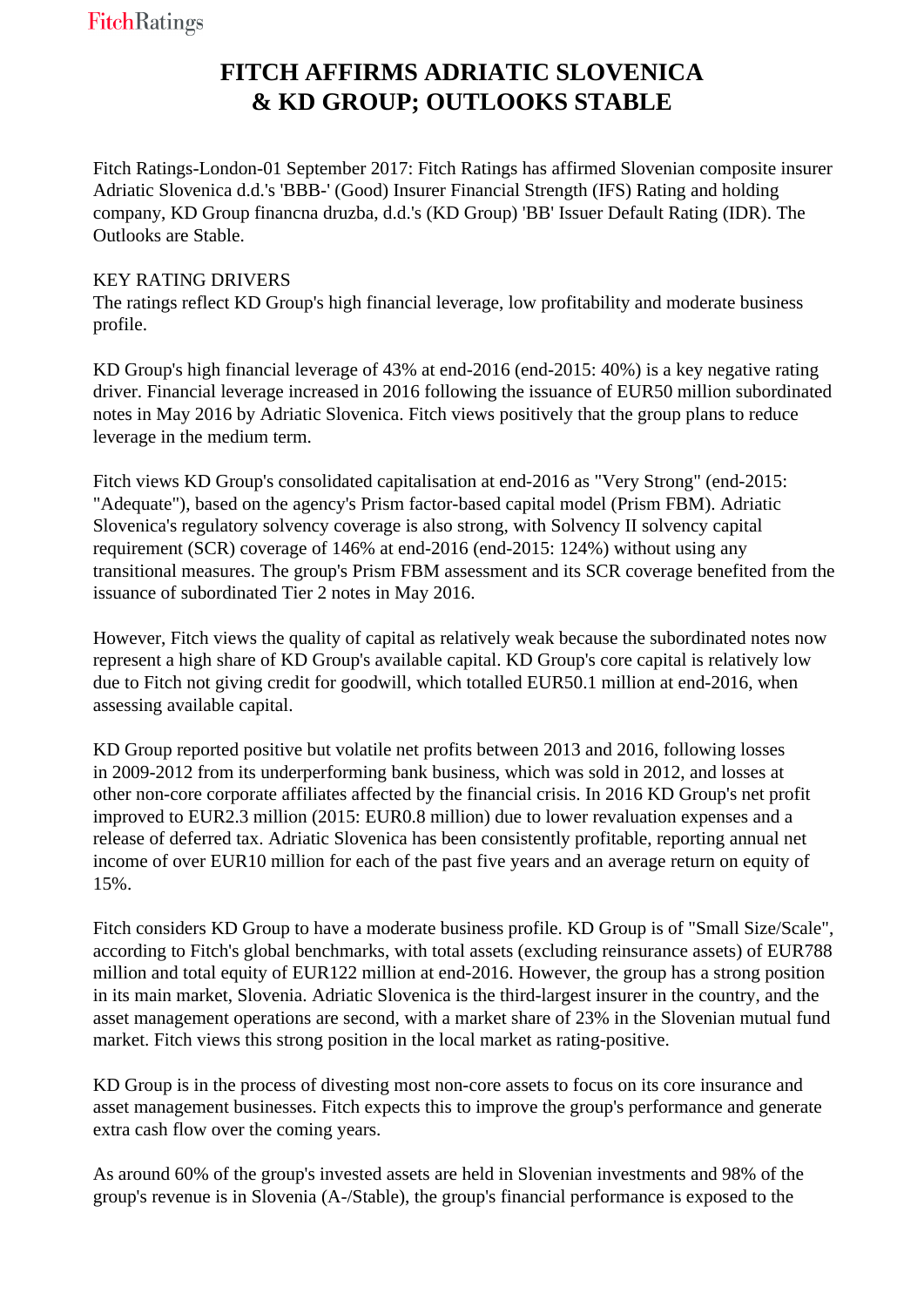## **FITCH AFFIRMS ADRIATIC SLOVENICA & KD GROUP; OUTLOOKS STABLE**

 Fitch Ratings-London-01 September 2017: Fitch Ratings has affirmed Slovenian composite insurer Adriatic Slovenica d.d.'s 'BBB-' (Good) Insurer Financial Strength (IFS) Rating and holding company, KD Group financna druzba, d.d.'s (KD Group) 'BB' Issuer Default Rating (IDR). The Outlooks are Stable.

## KEY RATING DRIVERS

 The ratings reflect KD Group's high financial leverage, low profitability and moderate business profile.

 KD Group's high financial leverage of 43% at end-2016 (end-2015: 40%) is a key negative rating driver. Financial leverage increased in 2016 following the issuance of EUR50 million subordinated notes in May 2016 by Adriatic Slovenica. Fitch views positively that the group plans to reduce leverage in the medium term.

 Fitch views KD Group's consolidated capitalisation at end-2016 as "Very Strong" (end-2015: "Adequate"), based on the agency's Prism factor-based capital model (Prism FBM). Adriatic Slovenica's regulatory solvency coverage is also strong, with Solvency II solvency capital requirement (SCR) coverage of 146% at end-2016 (end-2015: 124%) without using any transitional measures. The group's Prism FBM assessment and its SCR coverage benefited from the issuance of subordinated Tier 2 notes in May 2016.

 However, Fitch views the quality of capital as relatively weak because the subordinated notes now represent a high share of KD Group's available capital. KD Group's core capital is relatively low due to Fitch not giving credit for goodwill, which totalled EUR50.1 million at end-2016, when assessing available capital.

 KD Group reported positive but volatile net profits between 2013 and 2016, following losses in 2009-2012 from its underperforming bank business, which was sold in 2012, and losses at other non-core corporate affiliates affected by the financial crisis. In 2016 KD Group's net profit improved to EUR2.3 million (2015: EUR0.8 million) due to lower revaluation expenses and a release of deferred tax. Adriatic Slovenica has been consistently profitable, reporting annual net income of over EUR10 million for each of the past five years and an average return on equity of 15%.

 Fitch considers KD Group to have a moderate business profile. KD Group is of "Small Size/Scale", according to Fitch's global benchmarks, with total assets (excluding reinsurance assets) of EUR788 million and total equity of EUR122 million at end-2016. However, the group has a strong position in its main market, Slovenia. Adriatic Slovenica is the third-largest insurer in the country, and the asset management operations are second, with a market share of 23% in the Slovenian mutual fund market. Fitch views this strong position in the local market as rating-positive.

 KD Group is in the process of divesting most non-core assets to focus on its core insurance and asset management businesses. Fitch expects this to improve the group's performance and generate extra cash flow over the coming years.

 As around 60% of the group's invested assets are held in Slovenian investments and 98% of the group's revenue is in Slovenia (A-/Stable), the group's financial performance is exposed to the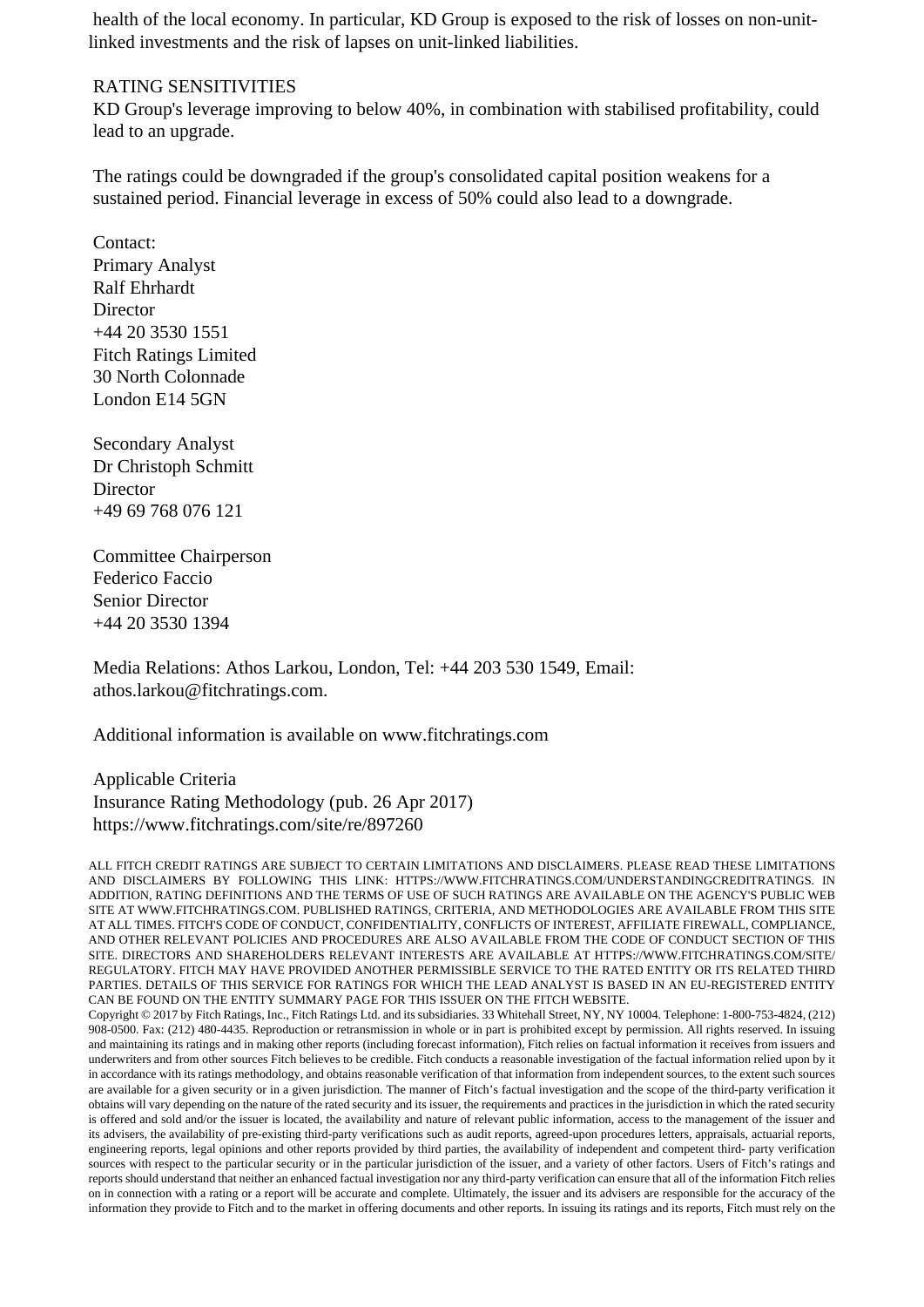health of the local economy. In particular, KD Group is exposed to the risk of losses on non-unitlinked investments and the risk of lapses on unit-linked liabilities.

## RATING SENSITIVITIES

 KD Group's leverage improving to below 40%, in combination with stabilised profitability, could lead to an upgrade.

 The ratings could be downgraded if the group's consolidated capital position weakens for a sustained period. Financial leverage in excess of 50% could also lead to a downgrade.

 Contact: Primary Analyst Ralf Ehrhardt Director +44 20 3530 1551 Fitch Ratings Limited 30 North Colonnade London E14 5GN

 Secondary Analyst Dr Christoph Schmitt **Director** +49 69 768 076 121

 Committee Chairperson Federico Faccio Senior Director +44 20 3530 1394

 Media Relations: Athos Larkou, London, Tel: +44 203 530 1549, Email: athos.larkou@fitchratings.com.

Additional information is available on www.fitchratings.com

 Applicable Criteria Insurance Rating Methodology (pub. 26 Apr 2017) https://www.fitchratings.com/site/re/897260

ALL FITCH CREDIT RATINGS ARE SUBJECT TO CERTAIN LIMITATIONS AND DISCLAIMERS. PLEASE READ THESE LIMITATIONS AND DISCLAIMERS BY FOLLOWING THIS LINK: HTTPS://WWW.FITCHRATINGS.COM/UNDERSTANDINGCREDITRATINGS. IN ADDITION, RATING DEFINITIONS AND THE TERMS OF USE OF SUCH RATINGS ARE AVAILABLE ON THE AGENCY'S PUBLIC WEB SITE AT WWW.FITCHRATINGS.COM. PUBLISHED RATINGS, CRITERIA, AND METHODOLOGIES ARE AVAILABLE FROM THIS SITE AT ALL TIMES. FITCH'S CODE OF CONDUCT, CONFIDENTIALITY, CONFLICTS OF INTEREST, AFFILIATE FIREWALL, COMPLIANCE, AND OTHER RELEVANT POLICIES AND PROCEDURES ARE ALSO AVAILABLE FROM THE CODE OF CONDUCT SECTION OF THIS SITE. DIRECTORS AND SHAREHOLDERS RELEVANT INTERESTS ARE AVAILABLE AT HTTPS://WWW.FITCHRATINGS.COM/SITE/ REGULATORY. FITCH MAY HAVE PROVIDED ANOTHER PERMISSIBLE SERVICE TO THE RATED ENTITY OR ITS RELATED THIRD PARTIES. DETAILS OF THIS SERVICE FOR RATINGS FOR WHICH THE LEAD ANALYST IS BASED IN AN EU-REGISTERED ENTITY CAN BE FOUND ON THE ENTITY SUMMARY PAGE FOR THIS ISSUER ON THE FITCH WEBSITE.

Copyright © 2017 by Fitch Ratings, Inc., Fitch Ratings Ltd. and its subsidiaries. 33 Whitehall Street, NY, NY 10004. Telephone: 1-800-753-4824, (212) 908-0500. Fax: (212) 480-4435. Reproduction or retransmission in whole or in part is prohibited except by permission. All rights reserved. In issuing and maintaining its ratings and in making other reports (including forecast information), Fitch relies on factual information it receives from issuers and underwriters and from other sources Fitch believes to be credible. Fitch conducts a reasonable investigation of the factual information relied upon by it in accordance with its ratings methodology, and obtains reasonable verification of that information from independent sources, to the extent such sources are available for a given security or in a given jurisdiction. The manner of Fitch's factual investigation and the scope of the third-party verification it obtains will vary depending on the nature of the rated security and its issuer, the requirements and practices in the jurisdiction in which the rated security is offered and sold and/or the issuer is located, the availability and nature of relevant public information, access to the management of the issuer and its advisers, the availability of pre-existing third-party verifications such as audit reports, agreed-upon procedures letters, appraisals, actuarial reports, engineering reports, legal opinions and other reports provided by third parties, the availability of independent and competent third- party verification sources with respect to the particular security or in the particular jurisdiction of the issuer, and a variety of other factors. Users of Fitch's ratings and reports should understand that neither an enhanced factual investigation nor any third-party verification can ensure that all of the information Fitch relies on in connection with a rating or a report will be accurate and complete. Ultimately, the issuer and its advisers are responsible for the accuracy of the information they provide to Fitch and to the market in offering documents and other reports. In issuing its ratings and its reports, Fitch must rely on the